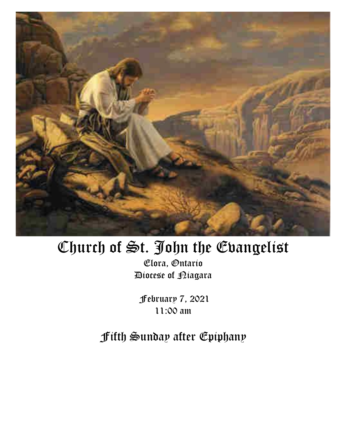

# Church of St. John the Evangelist

Elora, Ontario Diocese of Niagara

February 7, 2021 11:00 am

Fifth Sunday after Epiphany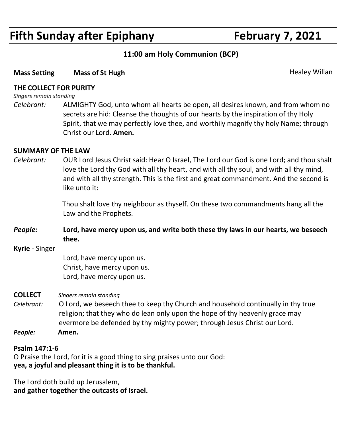## **Fifth Sunday after Epiphany February 7, 2021**

### **11:00 am Holy Communion (BCP)**

#### **Mass Setting big Mass of St Hugh Community Community Community Community Community Community Community Community Community Community Community Community Community Community Community Community Community Community Communit**

#### **THE COLLECT FOR PURITY**

*Singers remain standing*

*Celebrant:* ALMIGHTY God, unto whom all hearts be open, all desires known, and from whom no secrets are hid: Cleanse the thoughts of our hearts by the inspiration of thy Holy Spirit, that we may perfectly love thee, and worthily magnify thy holy Name; through Christ our Lord. **Amen.**

#### **SUMMARY OF THE LAW**

*Celebrant:* OUR Lord Jesus Christ said: Hear O Israel, The Lord our God is one Lord; and thou shalt love the Lord thy God with all thy heart, and with all thy soul, and with all thy mind, and with all thy strength. This is the first and great commandment. And the second is like unto it:

> Thou shalt love thy neighbour as thyself. On these two commandments hang all the Law and the Prophets.

- *People:* **Lord, have mercy upon us, and write both these thy laws in our hearts, we beseech thee.**
- **Kyrie** Singer

Lord, have mercy upon us. Christ, have mercy upon us. Lord, have mercy upon us.

**COLLECT** *Singers remain standing*

- *Celebrant:* O Lord, we beseech thee to keep thy Church and household continually in thy true religion; that they who do lean only upon the hope of thy heavenly grace may evermore be defended by thy mighty power; through Jesus Christ our Lord.
- *People:* **Amen.**

#### **Psalm 147:1-6**

O Praise the Lord, for it is a good thing to sing praises unto our God: **yea, a joyful and pleasant thing it is to be thankful.**

The Lord doth build up Jerusalem, **and gather together the outcasts of Israel.**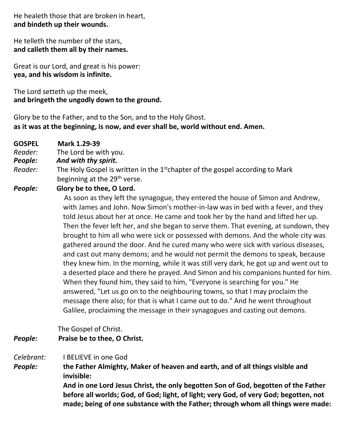He healeth those that are broken in heart, **and bindeth up their wounds.**

He telleth the number of the stars, **and calleth them all by their names.**

Great is our Lord, and great is his power: **yea, and his wisdom is infinite.**

The Lord setteth up the meek, **and bringeth the ungodly down to the ground.**

Glory be to the Father, and to the Son, and to the Holy Ghost. **as it was at the beginning, is now, and ever shall be, world without end. Amen.**

- **GOSPEL Mark 1.29-39**
- *Reader:*The Lord be with you.
- *People: And with thy spirit.*
- Reader: The Holy Gospel is written in the 1<sup>st</sup>chapter of the gospel according to Mark beginning at the 29<sup>th</sup> verse.
- *People:* **Glory be to thee, O Lord.**

 As soon as they left the synagogue, they entered the house of Simon and Andrew, with James and John. Now Simon's mother-in-law was in bed with a fever, and they told Jesus about her at once. He came and took her by the hand and lifted her up. Then the fever left her, and she began to serve them. That evening, at sundown, they brought to him all who were sick or possessed with demons. And the whole city was gathered around the door. And he cured many who were sick with various diseases, and cast out many demons; and he would not permit the demons to speak, because they knew him. In the morning, while it was still very dark, he got up and went out to a deserted place and there he prayed. And Simon and his companions hunted for him. When they found him, they said to him, "Everyone is searching for you." He answered, "Let us go on to the neighbouring towns, so that I may proclaim the message there also; for that is what I came out to do." And he went throughout Galilee, proclaiming the message in their synagogues and casting out demons.

The Gospel of Christ.

*People:* **Praise be to thee, O Christ.**

*Celebrant:* I BELIEVE in one God

*People:* **the Father Almighty, Maker of heaven and earth, and of all things visible and invisible:**

> **And in one Lord Jesus Christ, the only begotten Son of God, begotten of the Father before all worlds; God, of God; light, of light; very God, of very God; begotten, not made; being of one substance with the Father; through whom all things were made:**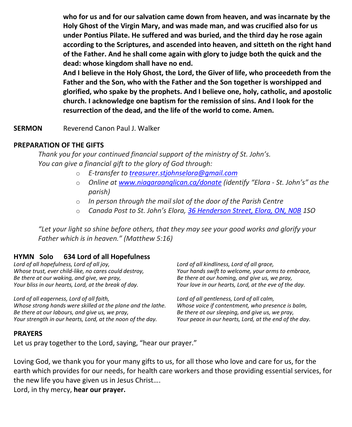**who for us and for our salvation came down from heaven, and was incarnate by the Holy Ghost of the Virgin Mary, and was made man, and was crucified also for us under Pontius Pilate. He suffered and was buried, and the third day he rose again according to the Scriptures, and ascended into heaven, and sitteth on the right hand of the Father. And he shall come again with glory to judge both the quick and the dead: whose kingdom shall have no end.**

**And I believe in the Holy Ghost, the Lord, the Giver of life, who proceedeth from the Father and the Son, who with the Father and the Son together is worshipped and glorified, who spake by the prophets. And I believe one, holy, catholic, and apostolic church. I acknowledge one baptism for the remission of sins. And I look for the resurrection of the dead, and the life of the world to come. Amen.**

**SERMON Reverend Canon Paul J. Walker** 

#### **PREPARATION OF THE GIFTS**

*Thank you for your continued financial support of the ministry of St. John's. You can give a financial gift to the glory of God through:*

- o *E-transfer to [treasurer.stjohnselora@gmail.com](mailto:treasurer.stjohnselora@gmail.com)*
- o *Online at [www.niagaraanglican.ca/donate](http://www.niagaraanglican.ca/donate) (identify "Elora - St. John's" as the parish)*
- o *In person through the mail slot of the door of the Parish Centre*
- o *Canada Post to St. John's Elora, [36 Henderson Street, Elora, ON, N0B](https://www.google.com/maps/search/36+Henderson+Street,+Elora,+ON,+N0B?entry=gmail&source=g) 1SO*

*"Let your light so shine before others, that they may see your good works and glorify your Father which is in heaven." (Matthew 5:16)*

#### **HYMN Solo 634 Lord of all Hopefulness**

*Lord of all hopefulness, Lord of all joy, Whose trust, ever child-like, no cares could destroy, Be there at our waking, and give, we pray, Your bliss in our hearts, Lord, at the break of day.*

*Lord of all eagerness, Lord of all faith, Whose strong hands were skilled at the plane and the lathe. Be there at our labours, and give us, we pray, Your strength in our hearts, Lord, at the noon of the day.*

*Lord of all kindliness, Lord of all grace, Your hands swift to welcome, your arms to embrace, Be there at our homing, and give us, we pray, Your love in our hearts, Lord, at the eve of the day.*

*Lord of all gentleness, Lord of all calm, Whose voice if contentment, who presence is balm, Be there at our sleeping, and give us, we pray, Your peace in our hearts, Lord, at the end of the day.*

#### **PRAYERS**

Let us pray together to the Lord, saying, "hear our prayer."

Loving God, we thank you for your many gifts to us, for all those who love and care for us, for the earth which provides for our needs, for health care workers and those providing essential services, for the new life you have given us in Jesus Christ….

Lord, in thy mercy, **hear our prayer.**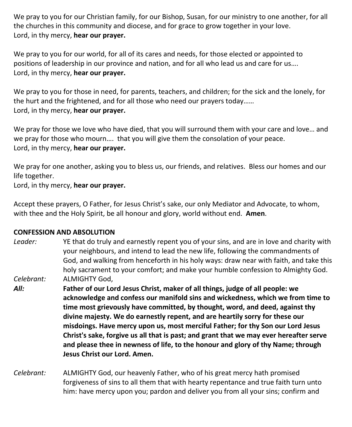We pray to you for our Christian family, for our Bishop, Susan, for our ministry to one another, for all the churches in this community and diocese, and for grace to grow together in your love. Lord, in thy mercy, **hear our prayer.**

We pray to you for our world, for all of its cares and needs, for those elected or appointed to positions of leadership in our province and nation, and for all who lead us and care for us…. Lord, in thy mercy, **hear our prayer.**

We pray to you for those in need, for parents, teachers, and children; for the sick and the lonely, for the hurt and the frightened, and for all those who need our prayers today…… Lord, in thy mercy, **hear our prayer.**

We pray for those we love who have died, that you will surround them with your care and love… and we pray for those who mourn…. that you will give them the consolation of your peace. Lord, in thy mercy, **hear our prayer.**

We pray for one another, asking you to bless us, our friends, and relatives. Bless our homes and our life together.

Lord, in thy mercy, **hear our prayer.**

Accept these prayers, O Father, for Jesus Christ's sake, our only Mediator and Advocate, to whom, with thee and the Holy Spirit, be all honour and glory, world without end. **Amen**.

#### **CONFESSION AND ABSOLUTION**

- *Leader:* YE that do truly and earnestly repent you of your sins, and are in love and charity with your neighbours, and intend to lead the new life, following the commandments of God, and walking from henceforth in his holy ways: draw near with faith, and take this holy sacrament to your comfort; and make your humble confession to Almighty God. *Celebrant:* ALMIGHTY God,
- *All:* **Father of our Lord Jesus Christ, maker of all things, judge of all people: we acknowledge and confess our manifold sins and wickedness, which we from time to time most grievously have committed, by thought, word, and deed, against thy divine majesty. We do earnestly repent, and are heartily sorry for these our misdoings. Have mercy upon us, most merciful Father; for thy Son our Lord Jesus Christ's sake, forgive us all that is past; and grant that we may ever hereafter serve and please thee in newness of life, to the honour and glory of thy Name; through Jesus Christ our Lord. Amen.**
- *Celebrant:* ALMIGHTY God, our heavenly Father, who of his great mercy hath promised forgiveness of sins to all them that with hearty repentance and true faith turn unto him: have mercy upon you; pardon and deliver you from all your sins; confirm and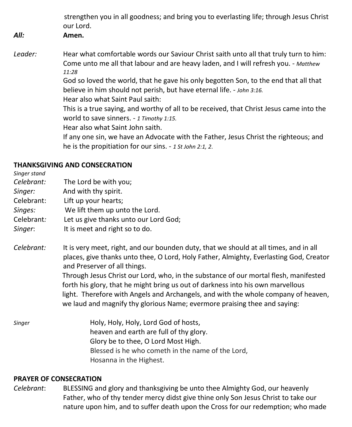strengthen you in all goodness; and bring you to everlasting life; through Jesus Christ our Lord. *All:* **Amen.** Leader: **Hear what comfortable words our Saviour Christ saith unto all that truly turn to him:** Come unto me all that labour and are heavy laden, and I will refresh you. - *Matthew 11:28* God so loved the world, that he gave his only begotten Son, to the end that all that believe in him should not perish, but have eternal life. - *John 3:16.* Hear also what Saint Paul saith: This is a true saying, and worthy of all to be received, that Christ Jesus came into the world to save sinners. - *1 Timothy 1:15.* Hear also what Saint John saith. If any one sin, we have an Advocate with the Father, Jesus Christ the righteous; and he is the propitiation for our sins. - *1 St John 2:1, 2*.

#### **THANKSGIVING AND CONSECRATION**

*Singer stand Celebrant:* The Lord be with you; *Singer:* And with thy spirit. Celebrant: Lift up your hearts; *Singes:* We lift them up unto the Lord. Celebrant*:* Let us give thanks unto our Lord God; *Singer*: It is meet and right so to do.

*Celebrant:* It is very meet, right, and our bounden duty, that we should at all times, and in all places, give thanks unto thee, O Lord, Holy Father, Almighty, Everlasting God, Creator and Preserver of all things.

 Through Jesus Christ our Lord, who, in the substance of our mortal flesh, manifested forth his glory, that he might bring us out of darkness into his own marvellous light. Therefore with Angels and Archangels, and with the whole company of heaven, we laud and magnify thy glorious Name; evermore praising thee and saying:

*Singer* **Holy, Holy, Holy, Lord God of hosts,**  heaven and earth are full of thy glory. Glory be to thee, O Lord Most High. Blessed is he who cometh in the name of the Lord, Hosanna in the Highest.

#### **PRAYER OF CONSECRATION**

*Celebrant*: BLESSING and glory and thanksgiving be unto thee Almighty God, our heavenly Father, who of thy tender mercy didst give thine only Son Jesus Christ to take our nature upon him, and to suffer death upon the Cross for our redemption; who made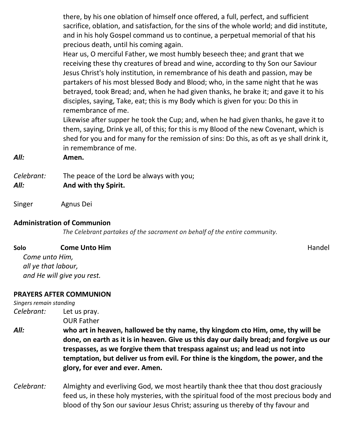there, by his one oblation of himself once offered, a full, perfect, and sufficient sacrifice, oblation, and satisfaction, for the sins of the whole world; and did institute, and in his holy Gospel command us to continue, a perpetual memorial of that his precious death, until his coming again.

Hear us, O merciful Father, we most humbly beseech thee; and grant that we receiving these thy creatures of bread and wine, according to thy Son our Saviour Jesus Christ's holy institution, in remembrance of his death and passion, may be partakers of his most blessed Body and Blood; who, in the same night that he was betrayed, took Bread; and, when he had given thanks, he brake it; and gave it to his disciples, saying, Take, eat; this is my Body which is given for you: Do this in remembrance of me.

Likewise after supper he took the Cup; and, when he had given thanks, he gave it to them, saying, Drink ye all, of this; for this is my Blood of the new Covenant, which is shed for you and for many for the remission of sins: Do this, as oft as ye shall drink it, in remembrance of me.

*All:* **Amen.**

- *Celebrant:* The peace of the Lord be always with you;
- *All:* **And with thy Spirit.**
- Singer Agnus Dei

#### **Administration of Communion**

 *The Celebrant partakes of the sacrament on behalf of the entire community.*

| Solo | <b>Come Unto Him</b> | Handel |
|------|----------------------|--------|
|------|----------------------|--------|

*Come unto Him, all ye that labour, and He will give you rest.*

#### **PRAYERS AFTER COMMUNION**

| Singers remain standing |                                                                                                                                                                                                                                                                                                                                                                                     |  |
|-------------------------|-------------------------------------------------------------------------------------------------------------------------------------------------------------------------------------------------------------------------------------------------------------------------------------------------------------------------------------------------------------------------------------|--|
| Celebrant:              | Let us pray.<br><b>OUR Father</b>                                                                                                                                                                                                                                                                                                                                                   |  |
|                         |                                                                                                                                                                                                                                                                                                                                                                                     |  |
| All:                    | who art in heaven, hallowed be thy name, thy kingdom cto Him, ome, thy will be<br>done, on earth as it is in heaven. Give us this day our daily bread; and forgive us our<br>trespasses, as we forgive them that trespass against us; and lead us not into<br>temptation, but deliver us from evil. For thine is the kingdom, the power, and the<br>glory, for ever and ever. Amen. |  |
| Celebrant:              | Almighty and everliving God, we most heartily thank thee that thou dost graciously                                                                                                                                                                                                                                                                                                  |  |

feed us, in these holy mysteries, with the spiritual food of the most precious body and blood of thy Son our saviour Jesus Christ; assuring us thereby of thy favour and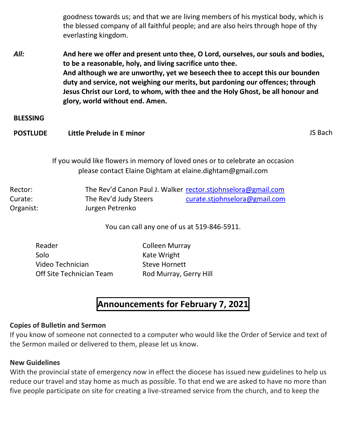goodness towards us; and that we are living members of his mystical body, which is the blessed company of all faithful people; and are also heirs through hope of thy everlasting kingdom.

*All:* **And here we offer and present unto thee, O Lord, ourselves, our souls and bodies, to be a reasonable, holy, and living sacrifice unto thee. And although we are unworthy, yet we beseech thee to accept this our bounden duty and service, not weighing our merits, but pardoning our offences; through Jesus Christ our Lord, to whom, with thee and the Holy Ghost, be all honour and glory, world without end. Amen.**

**BLESSING**

**POSTLUDE Little Prelude in E minor** and the state of the state of the state of the state of the state of the state of the state of the state of the state of the state of the state of the state of the state of the state of

If you would like flowers in memory of loved ones or to celebrate an occasion please contact Elaine Dightam at elaine.dightam@gmail.com

| Rector:   |                       | The Rev'd Canon Paul J. Walker rector.stjohnselora@gmail.com |
|-----------|-----------------------|--------------------------------------------------------------|
| Curate:   | The Rev'd Judy Steers | curate.stjohnselora@gmail.com                                |
| Organist: | Jurgen Petrenko       |                                                              |

You can call any one of us at 519-846-5911.

Reader **Colleen Murray** Solo Kate Wright Video Technician Steve Hornett Off Site Technician Team Rod Murray, Gerry Hill

## **Announcements for February 7, 2021**

#### **Copies of Bulletin and Sermon**

If you know of someone not connected to a computer who would like the Order of Service and text of the Sermon mailed or delivered to them, please let us know.

#### **New Guidelines**

With the provincial state of emergency now in effect the diocese has issued new guidelines to help us reduce our travel and stay home as much as possible. To that end we are asked to have no more than five people participate on site for creating a live-streamed service from the church, and to keep the